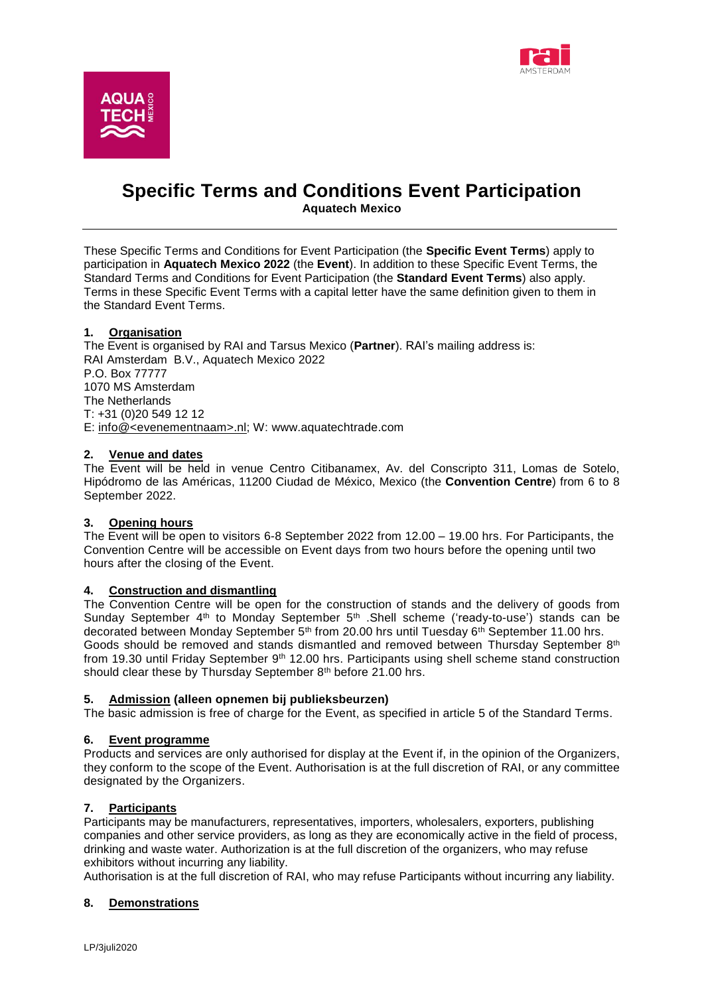



# **Specific Terms and Conditions Event Participation Aquatech Mexico**

These Specific Terms and Conditions for Event Participation (the **Specific Event Terms**) apply to participation in **Aquatech Mexico 2022** (the **Event**). In addition to these Specific Event Terms, the Standard Terms and Conditions for Event Participation (the **Standard Event Terms**) also apply. Terms in these Specific Event Terms with a capital letter have the same definition given to them in the Standard Event Terms.

# **1. Organisation**

The Event is organised by RAI and Tarsus Mexico (**Partner**). RAI's mailing address is: RAI Amsterdam B.V., Aquatech Mexico 2022 P.O. Box 77777 1070 MS Amsterdam The Netherlands T: +31 (0)20 549 12 12 E: [info@<evenementnaam>.nl;](mailto:info@%3cbeursnaam%3e.nl) W: www.aquatechtrade.com

#### **2. Venue and dates**

The Event will be held in venue Centro Citibanamex, Av. del Conscripto 311, Lomas de Sotelo, Hipódromo de las Américas, 11200 Ciudad de México, Mexico (the **Convention Centre**) from 6 to 8 September 2022.

## **3. Opening hours**

The Event will be open to visitors 6-8 September 2022 from 12.00 – 19.00 hrs. For Participants, the Convention Centre will be accessible on Event days from two hours before the opening until two hours after the closing of the Event.

## **4. Construction and dismantling**

The Convention Centre will be open for the construction of stands and the delivery of goods from Sunday September 4<sup>th</sup> to Monday September 5<sup>th</sup> .Shell scheme ('ready-to-use') stands can be decorated between Monday September 5<sup>th</sup> from 20.00 hrs until Tuesday 6<sup>th</sup> September 11.00 hrs. Goods should be removed and stands dismantled and removed between Thursday September 8th from 19.30 until Friday September 9<sup>th</sup> 12.00 hrs. Participants using shell scheme stand construction should clear these by Thursday September 8<sup>th</sup> before 21.00 hrs.

#### **5. Admission (alleen opnemen bij publieksbeurzen)**

The basic admission is free of charge for the Event, as specified in article 5 of the Standard Terms.

#### **6. Event programme**

Products and services are only authorised for display at the Event if, in the opinion of the Organizers, they conform to the scope of the Event. Authorisation is at the full discretion of RAI, or any committee designated by the Organizers.

## **7. Participants**

Participants may be manufacturers, representatives, importers, wholesalers, exporters, publishing companies and other service providers, as long as they are economically active in the field of process, drinking and waste water. Authorization is at the full discretion of the organizers, who may refuse exhibitors without incurring any liability.

Authorisation is at the full discretion of RAI, who may refuse Participants without incurring any liability.

## **8. Demonstrations**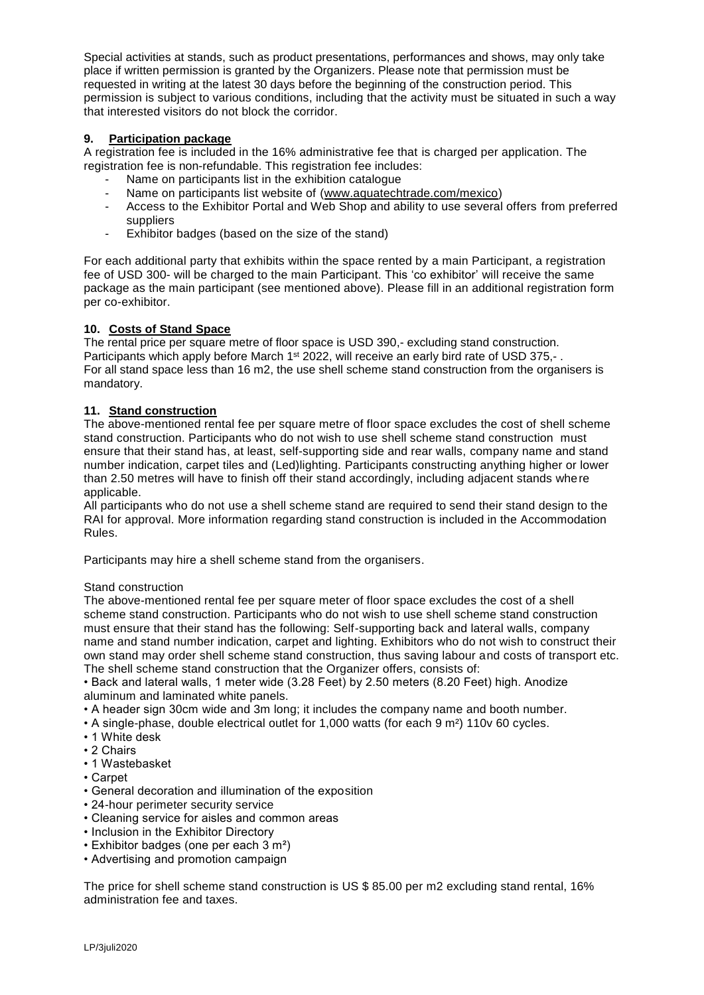Special activities at stands, such as product presentations, performances and shows, may only take place if written permission is granted by the Organizers. Please note that permission must be requested in writing at the latest 30 days before the beginning of the construction period. This permission is subject to various conditions, including that the activity must be situated in such a way that interested visitors do not block the corridor.

# **9. Participation package**

A registration fee is included in the 16% administrative fee that is charged per application. The registration fee is non-refundable. This registration fee includes:

- Name on participants list in the exhibition catalogue
- Name on participants list website of [\(www.aquatechtrade.com/mexico\)](http://www.aquatechtrade.com/mexico)
- Access to the Exhibitor Portal and Web Shop and ability to use several offers from preferred suppliers
- Exhibitor badges (based on the size of the stand)

For each additional party that exhibits within the space rented by a main Participant, a registration fee of USD 300- will be charged to the main Participant. This 'co exhibitor' will receive the same package as the main participant (see mentioned above). Please fill in an additional registration form per co-exhibitor.

# **10. Costs of Stand Space**

The rental price per square metre of floor space is USD 390,- excluding stand construction. Participants which apply before March 1<sup>st</sup> 2022, will receive an early bird rate of USD 375.-. For all stand space less than 16 m2, the use shell scheme stand construction from the organisers is mandatory.

# **11. Stand construction**

The above-mentioned rental fee per square metre of floor space excludes the cost of shell scheme stand construction. Participants who do not wish to use shell scheme stand construction must ensure that their stand has, at least, self-supporting side and rear walls, company name and stand number indication, carpet tiles and (Led)lighting. Participants constructing anything higher or lower than 2.50 metres will have to finish off their stand accordingly, including adjacent stands where applicable.

All participants who do not use a shell scheme stand are required to send their stand design to the RAI for approval. More information regarding stand construction is included in the Accommodation Rules.

Participants may hire a shell scheme stand from the organisers.

## Stand construction

The above-mentioned rental fee per square meter of floor space excludes the cost of a shell scheme stand construction. Participants who do not wish to use shell scheme stand construction must ensure that their stand has the following: Self-supporting back and lateral walls, company name and stand number indication, carpet and lighting. Exhibitors who do not wish to construct their own stand may order shell scheme stand construction, thus saving labour and costs of transport etc. The shell scheme stand construction that the Organizer offers, consists of:

• Back and lateral walls, 1 meter wide (3.28 Feet) by 2.50 meters (8.20 Feet) high. Anodize aluminum and laminated white panels.

- A header sign 30cm wide and 3m long; it includes the company name and booth number.
- A single-phase, double electrical outlet for 1,000 watts (for each 9 m²) 110v 60 cycles.
- 1 White desk
- 2 Chairs
- 1 Wastebasket
- Carpet
- General decoration and illumination of the exposition
- 24-hour perimeter security service
- Cleaning service for aisles and common areas
- Inclusion in the Exhibitor Directory
- Exhibitor badges (one per each 3 m²)
- Advertising and promotion campaign

The price for shell scheme stand construction is US \$ 85.00 per m2 excluding stand rental, 16% administration fee and taxes.